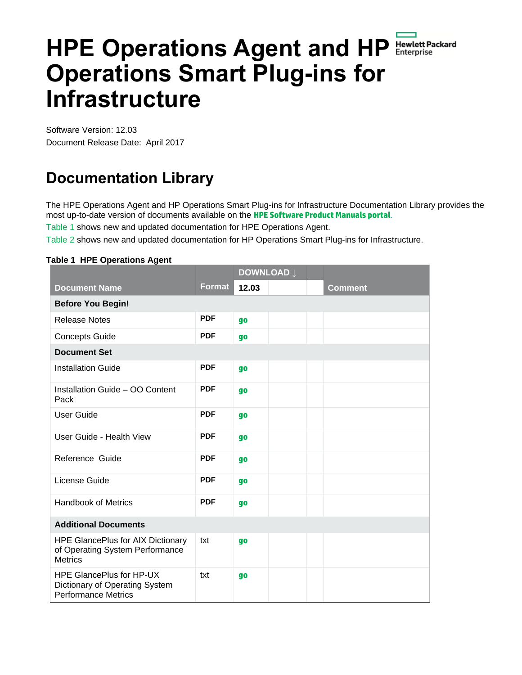# **HPE Operations Agent and HP Operations Smart Plug-ins for Infrastructure**

Software Version: 12.03 Document Release Date: April 2017

## **Documentation Library**

The HPE Operations Agent and HP Operations Smart Plug-ins for Infrastructure Documentation Library provides the most up-to-date version of documents available on the **HPE [Software Product Manuals portal](https://softwaresupport.hpe.com/group/softwaresupport)**.

[Table 1](#page-0-0) shows new and updated documentation for HPE Operations Agent.

[Table 2](#page-1-0) shows new and updated documentation for HP Operations Smart Plug-ins for Infrastructure.

#### <span id="page-0-0"></span>**Table 1 HPE Operations Agent**

|                                                                                                 |               | <b>DOWNLOAD</b> Į |  |  |                |  |  |  |  |
|-------------------------------------------------------------------------------------------------|---------------|-------------------|--|--|----------------|--|--|--|--|
| <b>Document Name</b>                                                                            | <b>Format</b> | 12.03             |  |  | <b>Comment</b> |  |  |  |  |
| <b>Before You Begin!</b>                                                                        |               |                   |  |  |                |  |  |  |  |
| <b>Release Notes</b>                                                                            | <b>PDF</b>    | <b>go</b>         |  |  |                |  |  |  |  |
| <b>Concepts Guide</b>                                                                           | <b>PDF</b>    | <b>go</b>         |  |  |                |  |  |  |  |
| <b>Document Set</b>                                                                             |               |                   |  |  |                |  |  |  |  |
| <b>Installation Guide</b>                                                                       | <b>PDF</b>    | <b>go</b>         |  |  |                |  |  |  |  |
| Installation Guide - OO Content<br>Pack                                                         | <b>PDF</b>    | <b>go</b>         |  |  |                |  |  |  |  |
| <b>User Guide</b>                                                                               | <b>PDF</b>    | <b>go</b>         |  |  |                |  |  |  |  |
| User Guide - Health View                                                                        | <b>PDF</b>    | <b>go</b>         |  |  |                |  |  |  |  |
| Reference Guide                                                                                 | <b>PDF</b>    | <b>go</b>         |  |  |                |  |  |  |  |
| License Guide                                                                                   | <b>PDF</b>    | <b>go</b>         |  |  |                |  |  |  |  |
| <b>Handbook of Metrics</b>                                                                      | <b>PDF</b>    | <b>go</b>         |  |  |                |  |  |  |  |
| <b>Additional Documents</b>                                                                     |               |                   |  |  |                |  |  |  |  |
| <b>HPE GlancePlus for AIX Dictionary</b><br>of Operating System Performance<br><b>Metrics</b>   | txt           | <b>go</b>         |  |  |                |  |  |  |  |
| <b>HPE GlancePlus for HP-UX</b><br>Dictionary of Operating System<br><b>Performance Metrics</b> | txt           | go                |  |  |                |  |  |  |  |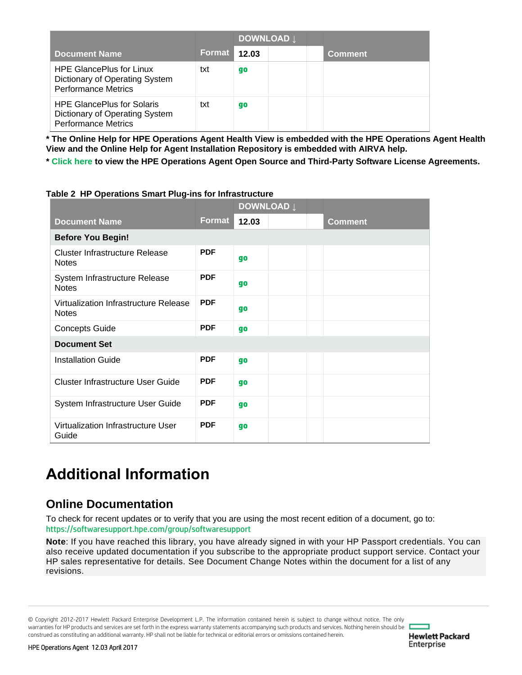|                                                                                                   |        | DOWNLOAD L |  |         |
|---------------------------------------------------------------------------------------------------|--------|------------|--|---------|
| <b>Document Name</b>                                                                              | Format | 12.03      |  | Comment |
| <b>HPE GlancePlus for Linux</b><br>Dictionary of Operating System<br><b>Performance Metrics</b>   | txt    | go         |  |         |
| <b>HPE GlancePlus for Solaris</b><br>Dictionary of Operating System<br><b>Performance Metrics</b> | txt    | go         |  |         |

**\* The Online Help for HPE Operations Agent Health View is embedded with the HPE Operations Agent Health View and the Online Help for Agent Installation Repository is embedded with AIRVA help.**

**\* [Click here](https://softwaresupport.hpe.com/km/KM02773695) to view the HPE Operations Agent Open Source and Third-Party Software License Agreements.**

| apic $\epsilon$ in operations onight ray inster initiast actual |            | <b>DOWNLOAD</b> Į |  |  |                |  |  |
|-----------------------------------------------------------------|------------|-------------------|--|--|----------------|--|--|
| <b>Document Name</b>                                            | Format     | 12.03             |  |  | <b>Comment</b> |  |  |
| <b>Before You Begin!</b>                                        |            |                   |  |  |                |  |  |
| <b>Cluster Infrastructure Release</b><br><b>Notes</b>           | <b>PDF</b> | go                |  |  |                |  |  |
| System Infrastructure Release<br><b>Notes</b>                   | <b>PDF</b> | go                |  |  |                |  |  |
| Virtualization Infrastructure Release<br><b>Notes</b>           | <b>PDF</b> | go                |  |  |                |  |  |
| <b>Concepts Guide</b>                                           | <b>PDF</b> | go                |  |  |                |  |  |
| <b>Document Set</b>                                             |            |                   |  |  |                |  |  |
| <b>Installation Guide</b>                                       | <b>PDF</b> | go                |  |  |                |  |  |
| <b>Cluster Infrastructure User Guide</b>                        | <b>PDF</b> | go                |  |  |                |  |  |
| System Infrastructure User Guide                                | <b>PDF</b> | go                |  |  |                |  |  |
| Virtualization Infrastructure User<br>Guide                     | <b>PDF</b> | <b>go</b>         |  |  |                |  |  |

#### <span id="page-1-0"></span>**Table 2 HP Operations Smart Plug-ins for Infrastructure**

# **Additional Information**

### **Online Documentation**

To check for recent updates or to verify that you are using the most recent edition of a document, go to: <https://softwaresupport.hpe.com/group/softwaresupport>

**Note**: If you have reached this library, you have already signed in with your HP Passport credentials. You can also receive updated documentation if you subscribe to the appropriate product support service. Contact your HP sales representative for details. See Document Change Notes within the document for a list of any revisions.

© Copyright 2012-2017 Hewlett Packard Enterprise Development L.P. The information contained herein is subject to change without notice. The only warranties for HP products and services are set forth in the express warranty statements accompanying such products and services. Nothing herein should be construed as constituting an additional warranty. HP shall not be liable for technical or editorial errors or omissions contained herein.